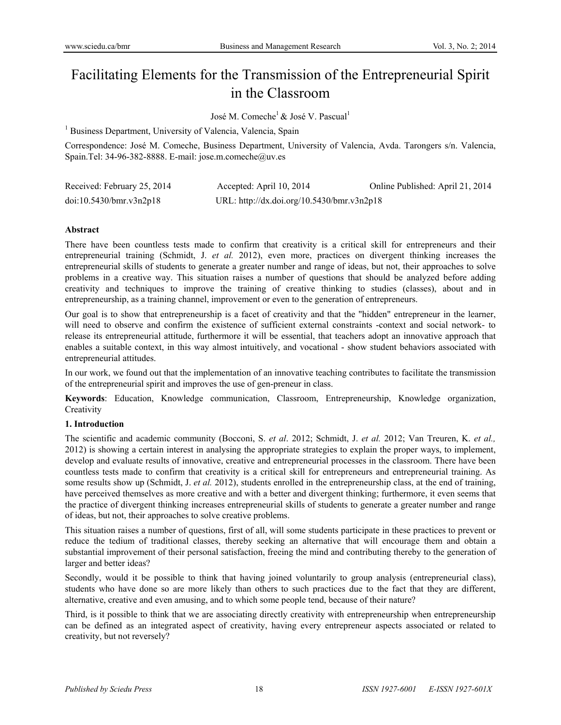# Facilitating Elements for the Transmission of the Entrepreneurial Spirit in the Classroom

José M. Comeche<sup>1</sup> & José V. Pascual<sup>1</sup>

<sup>1</sup> Business Department, University of Valencia, Valencia, Spain

Correspondence: José M. Comeche, Business Department, University of Valencia, Avda. Tarongers s/n. Valencia, Spain.Tel: 34-96-382-8888. E-mail: jose.m.comeche@uv.es

| Received: February 25, 2014 | Accepted: April 10, 2014                   | Online Published: April 21, 2014 |
|-----------------------------|--------------------------------------------|----------------------------------|
| doi:10.5430/bmr.v3n2p18     | URL: http://dx.doi.org/10.5430/bmr.v3n2p18 |                                  |

## **Abstract**

There have been countless tests made to confirm that creativity is a critical skill for entrepreneurs and their entrepreneurial training (Schmidt, J. *et al.* 2012), even more, practices on divergent thinking increases the entrepreneurial skills of students to generate a greater number and range of ideas, but not, their approaches to solve problems in a creative way. This situation raises a number of questions that should be analyzed before adding creativity and techniques to improve the training of creative thinking to studies (classes), about and in entrepreneurship, as a training channel, improvement or even to the generation of entrepreneurs.

Our goal is to show that entrepreneurship is a facet of creativity and that the "hidden" entrepreneur in the learner, will need to observe and confirm the existence of sufficient external constraints -context and social network- to release its entrepreneurial attitude, furthermore it will be essential, that teachers adopt an innovative approach that enables a suitable context, in this way almost intuitively, and vocational - show student behaviors associated with entrepreneurial attitudes.

In our work, we found out that the implementation of an innovative teaching contributes to facilitate the transmission of the entrepreneurial spirit and improves the use of gen-preneur in class.

**Keywords**: Education, Knowledge communication, Classroom, Entrepreneurship, Knowledge organization, **Creativity** 

# **1. Introduction**

The scientific and academic community (Bocconi, S. *et al*. 2012; Schmidt, J. *et al.* 2012; Van Treuren, K. *et al.,* 2012) is showing a certain interest in analysing the appropriate strategies to explain the proper ways, to implement, develop and evaluate results of innovative, creative and entrepreneurial processes in the classroom. There have been countless tests made to confirm that creativity is a critical skill for entrepreneurs and entrepreneurial training. As some results show up (Schmidt, J. *et al.* 2012), students enrolled in the entrepreneurship class, at the end of training, have perceived themselves as more creative and with a better and divergent thinking; furthermore, it even seems that the practice of divergent thinking increases entrepreneurial skills of students to generate a greater number and range of ideas, but not, their approaches to solve creative problems.

This situation raises a number of questions, first of all, will some students participate in these practices to prevent or reduce the tedium of traditional classes, thereby seeking an alternative that will encourage them and obtain a substantial improvement of their personal satisfaction, freeing the mind and contributing thereby to the generation of larger and better ideas?

Secondly, would it be possible to think that having joined voluntarily to group analysis (entrepreneurial class), students who have done so are more likely than others to such practices due to the fact that they are different, alternative, creative and even amusing, and to which some people tend, because of their nature?

Third, is it possible to think that we are associating directly creativity with entrepreneurship when entrepreneurship can be defined as an integrated aspect of creativity, having every entrepreneur aspects associated or related to creativity, but not reversely?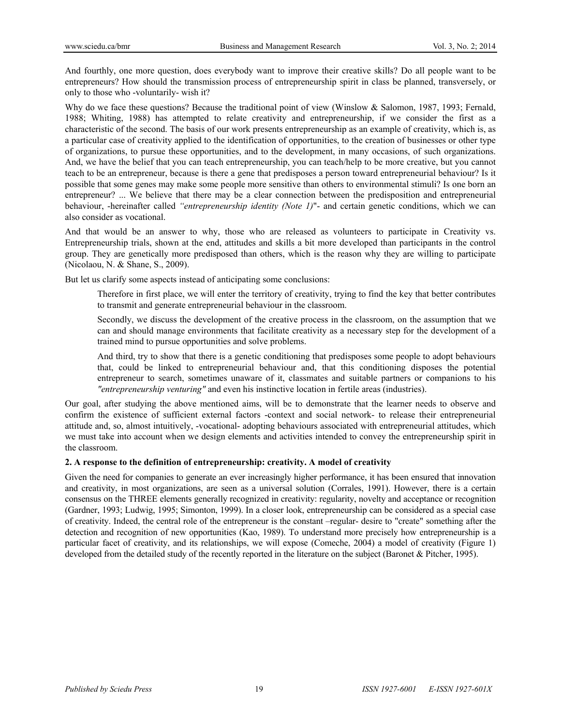And fourthly, one more question, does everybody want to improve their creative skills? Do all people want to be entrepreneurs? How should the transmission process of entrepreneurship spirit in class be planned, transversely, or only to those who -voluntarily- wish it?

Why do we face these questions? Because the traditional point of view (Winslow & Salomon, 1987, 1993; Fernald, 1988; Whiting, 1988) has attempted to relate creativity and entrepreneurship, if we consider the first as a characteristic of the second. The basis of our work presents entrepreneurship as an example of creativity, which is, as a particular case of creativity applied to the identification of opportunities, to the creation of businesses or other type of organizations, to pursue these opportunities, and to the development, in many occasions, of such organizations. And, we have the belief that you can teach entrepreneurship, you can teach/help to be more creative, but you cannot teach to be an entrepreneur, because is there a gene that predisposes a person toward entrepreneurial behaviour? Is it possible that some genes may make some people more sensitive than others to environmental stimuli? Is one born an entrepreneur? ... We believe that there may be a clear connection between the predisposition and entrepreneurial behaviour, -hereinafter called *"entrepreneurship identity (Note 1)*"- and certain genetic conditions, which we can also consider as vocational.

And that would be an answer to why, those who are released as volunteers to participate in Creativity vs. Entrepreneurship trials, shown at the end, attitudes and skills a bit more developed than participants in the control group. They are genetically more predisposed than others, which is the reason why they are willing to participate (Nicolaou, N. & Shane, S., 2009).

But let us clarify some aspects instead of anticipating some conclusions:

Therefore in first place, we will enter the territory of creativity, trying to find the key that better contributes to transmit and generate entrepreneurial behaviour in the classroom.

Secondly, we discuss the development of the creative process in the classroom, on the assumption that we can and should manage environments that facilitate creativity as a necessary step for the development of a trained mind to pursue opportunities and solve problems.

And third, try to show that there is a genetic conditioning that predisposes some people to adopt behaviours that, could be linked to entrepreneurial behaviour and, that this conditioning disposes the potential entrepreneur to search, sometimes unaware of it, classmates and suitable partners or companions to his *"entrepreneurship venturing"* and even his instinctive location in fertile areas (industries).

Our goal, after studying the above mentioned aims, will be to demonstrate that the learner needs to observe and confirm the existence of sufficient external factors -context and social network- to release their entrepreneurial attitude and, so, almost intuitively, -vocational- adopting behaviours associated with entrepreneurial attitudes, which we must take into account when we design elements and activities intended to convey the entrepreneurship spirit in the classroom.

## **2. A response to the definition of entrepreneurship: creativity. A model of creativity**

Given the need for companies to generate an ever increasingly higher performance, it has been ensured that innovation and creativity, in most organizations, are seen as a universal solution (Corrales, 1991). However, there is a certain consensus on the THREE elements generally recognized in creativity: regularity, novelty and acceptance or recognition (Gardner, 1993; Ludwig, 1995; Simonton, 1999). In a closer look, entrepreneurship can be considered as a special case of creativity. Indeed, the central role of the entrepreneur is the constant –regular- desire to "create" something after the detection and recognition of new opportunities (Kao, 1989). To understand more precisely how entrepreneurship is a particular facet of creativity, and its relationships, we will expose (Comeche, 2004) a model of creativity (Figure 1) developed from the detailed study of the recently reported in the literature on the subject (Baronet & Pitcher, 1995).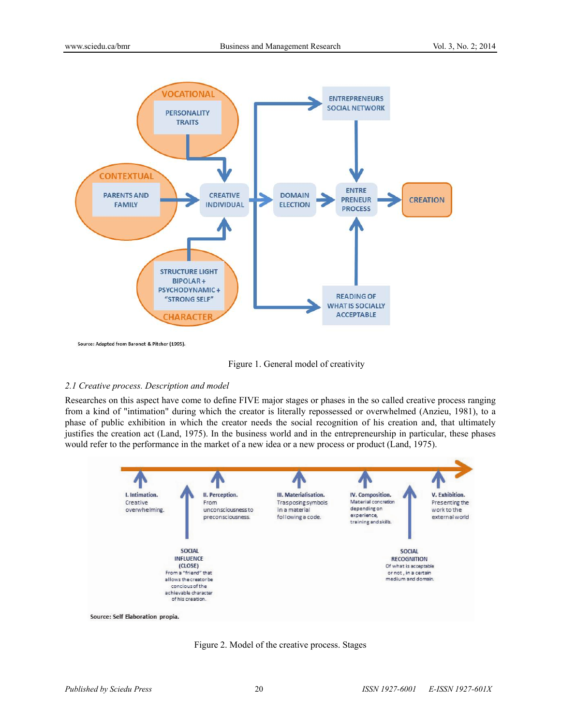

Source: Adapted from Baronet & Pitcher (1995).



# *2.1 Creative process. Description and model*

Researches on this aspect have come to define FIVE major stages or phases in the so called creative process ranging from a kind of "intimation" during which the creator is literally repossessed or overwhelmed (Anzieu, 1981), to a phase of public exhibition in which the creator needs the social recognition of his creation and, that ultimately justifies the creation act (Land, 1975). In the business world and in the entrepreneurship in particular, these phases would refer to the performance in the market of a new idea or a new process or product (Land, 1975).



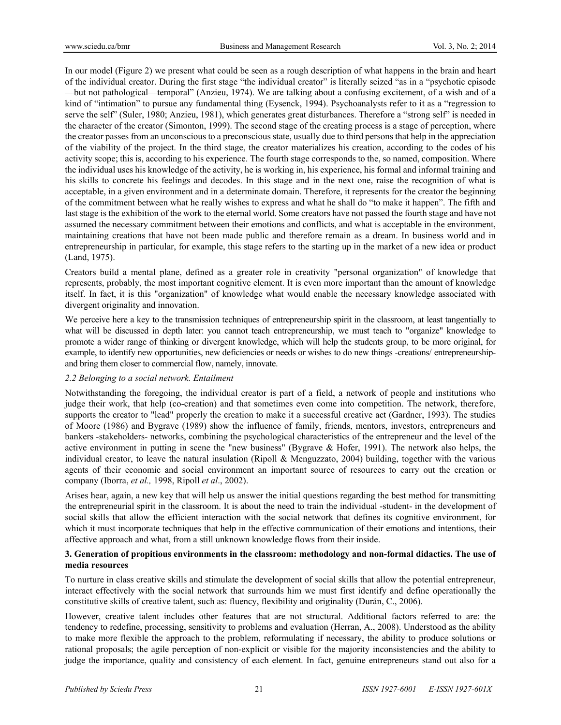In our model (Figure 2) we present what could be seen as a rough description of what happens in the brain and heart of the individual creator. During the first stage "the individual creator" is literally seized "as in a "psychotic episode —but not pathological—temporal" (Anzieu, 1974). We are talking about a confusing excitement, of a wish and of a kind of "intimation" to pursue any fundamental thing (Eysenck, 1994). Psychoanalysts refer to it as a "regression to serve the self" (Suler, 1980; Anzieu, 1981), which generates great disturbances. Therefore a "strong self" is needed in the character of the creator (Simonton, 1999). The second stage of the creating process is a stage of perception, where the creator passes from an unconscious to a preconscious state, usually due to third persons that help in the appreciation of the viability of the project. In the third stage, the creator materializes his creation, according to the codes of his activity scope; this is, according to his experience. The fourth stage corresponds to the, so named, composition. Where the individual uses his knowledge of the activity, he is working in, his experience, his formal and informal training and his skills to concrete his feelings and decodes. In this stage and in the next one, raise the recognition of what is acceptable, in a given environment and in a determinate domain. Therefore, it represents for the creator the beginning of the commitment between what he really wishes to express and what he shall do "to make it happen". The fifth and last stage is the exhibition of the work to the eternal world. Some creators have not passed the fourth stage and have not assumed the necessary commitment between their emotions and conflicts, and what is acceptable in the environment, maintaining creations that have not been made public and therefore remain as a dream. In business world and in entrepreneurship in particular, for example, this stage refers to the starting up in the market of a new idea or product (Land, 1975).

Creators build a mental plane, defined as a greater role in creativity "personal organization" of knowledge that represents, probably, the most important cognitive element. It is even more important than the amount of knowledge itself. In fact, it is this "organization" of knowledge what would enable the necessary knowledge associated with divergent originality and innovation.

We perceive here a key to the transmission techniques of entrepreneurship spirit in the classroom, at least tangentially to what will be discussed in depth later: you cannot teach entrepreneurship, we must teach to "organize" knowledge to promote a wider range of thinking or divergent knowledge, which will help the students group, to be more original, for example, to identify new opportunities, new deficiencies or needs or wishes to do new things -creations/ entrepreneurshipand bring them closer to commercial flow, namely, innovate.

# *2.2 Belonging to a social network. Entailment*

Notwithstanding the foregoing, the individual creator is part of a field, a network of people and institutions who judge their work, that help (co-creation) and that sometimes even come into competition. The network, therefore, supports the creator to "lead" properly the creation to make it a successful creative act (Gardner, 1993). The studies of Moore (1986) and Bygrave (1989) show the influence of family, friends, mentors, investors, entrepreneurs and bankers -stakeholders- networks, combining the psychological characteristics of the entrepreneur and the level of the active environment in putting in scene the "new business" (Bygrave & Hofer, 1991). The network also helps, the individual creator, to leave the natural insulation (Ripoll & Menguzzato, 2004) building, together with the various agents of their economic and social environment an important source of resources to carry out the creation or company (Iborra, *et al.,* 1998, Ripoll *et al*., 2002).

Arises hear, again, a new key that will help us answer the initial questions regarding the best method for transmitting the entrepreneurial spirit in the classroom. It is about the need to train the individual -student- in the development of social skills that allow the efficient interaction with the social network that defines its cognitive environment, for which it must incorporate techniques that help in the effective communication of their emotions and intentions, their affective approach and what, from a still unknown knowledge flows from their inside.

# **3. Generation of propitious environments in the classroom: methodology and non-formal didactics. The use of media resources**

To nurture in class creative skills and stimulate the development of social skills that allow the potential entrepreneur, interact effectively with the social network that surrounds him we must first identify and define operationally the constitutive skills of creative talent, such as: fluency, flexibility and originality (Durán, C., 2006).

However, creative talent includes other features that are not structural. Additional factors referred to are: the tendency to redefine, processing, sensitivity to problems and evaluation (Herran, A., 2008). Understood as the ability to make more flexible the approach to the problem, reformulating if necessary, the ability to produce solutions or rational proposals; the agile perception of non-explicit or visible for the majority inconsistencies and the ability to judge the importance, quality and consistency of each element. In fact, genuine entrepreneurs stand out also for a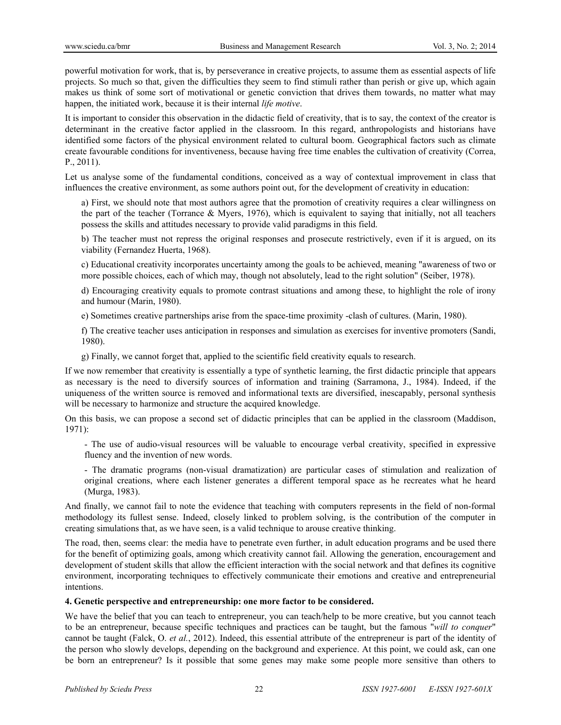powerful motivation for work, that is, by perseverance in creative projects, to assume them as essential aspects of life projects. So much so that, given the difficulties they seem to find stimuli rather than perish or give up, which again makes us think of some sort of motivational or genetic conviction that drives them towards, no matter what may happen, the initiated work, because it is their internal *life motive*.

It is important to consider this observation in the didactic field of creativity, that is to say, the context of the creator is determinant in the creative factor applied in the classroom. In this regard, anthropologists and historians have identified some factors of the physical environment related to cultural boom. Geographical factors such as climate create favourable conditions for inventiveness, because having free time enables the cultivation of creativity (Correa, P., 2011).

Let us analyse some of the fundamental conditions, conceived as a way of contextual improvement in class that influences the creative environment, as some authors point out, for the development of creativity in education:

a) First, we should note that most authors agree that the promotion of creativity requires a clear willingness on the part of the teacher (Torrance  $\&$  Myers, 1976), which is equivalent to saying that initially, not all teachers possess the skills and attitudes necessary to provide valid paradigms in this field.

b) The teacher must not repress the original responses and prosecute restrictively, even if it is argued, on its viability (Fernandez Huerta, 1968).

c) Educational creativity incorporates uncertainty among the goals to be achieved, meaning "awareness of two or more possible choices, each of which may, though not absolutely, lead to the right solution" (Seiber, 1978).

d) Encouraging creativity equals to promote contrast situations and among these, to highlight the role of irony and humour (Marin, 1980).

e) Sometimes creative partnerships arise from the space-time proximity -clash of cultures. (Marin, 1980).

f) The creative teacher uses anticipation in responses and simulation as exercises for inventive promoters (Sandi, 1980).

g) Finally, we cannot forget that, applied to the scientific field creativity equals to research.

If we now remember that creativity is essentially a type of synthetic learning, the first didactic principle that appears as necessary is the need to diversify sources of information and training (Sarramona, J., 1984). Indeed, if the uniqueness of the written source is removed and informational texts are diversified, inescapably, personal synthesis will be necessary to harmonize and structure the acquired knowledge.

On this basis, we can propose a second set of didactic principles that can be applied in the classroom (Maddison, 1971):

- The use of audio-visual resources will be valuable to encourage verbal creativity, specified in expressive fluency and the invention of new words.

- The dramatic programs (non-visual dramatization) are particular cases of stimulation and realization of original creations, where each listener generates a different temporal space as he recreates what he heard (Murga, 1983).

And finally, we cannot fail to note the evidence that teaching with computers represents in the field of non-formal methodology its fullest sense. Indeed, closely linked to problem solving, is the contribution of the computer in creating simulations that, as we have seen, is a valid technique to arouse creative thinking.

The road, then, seems clear: the media have to penetrate even further, in adult education programs and be used there for the benefit of optimizing goals, among which creativity cannot fail. Allowing the generation, encouragement and development of student skills that allow the efficient interaction with the social network and that defines its cognitive environment, incorporating techniques to effectively communicate their emotions and creative and entrepreneurial intentions.

## **4. Genetic perspective and entrepreneurship: one more factor to be considered.**

We have the belief that you can teach to entrepreneur, you can teach/help to be more creative, but you cannot teach to be an entrepreneur, because specific techniques and practices can be taught, but the famous "*will to conquer*" cannot be taught (Falck, O. *et al.*, 2012). Indeed, this essential attribute of the entrepreneur is part of the identity of the person who slowly develops, depending on the background and experience. At this point, we could ask, can one be born an entrepreneur? Is it possible that some genes may make some people more sensitive than others to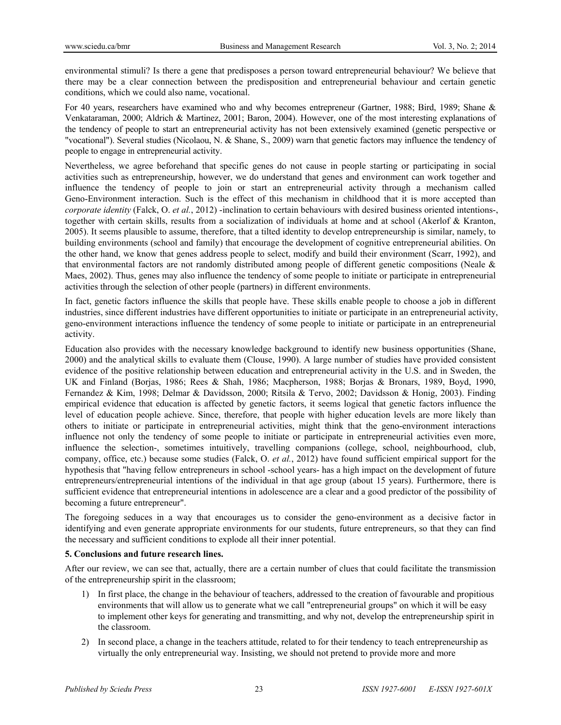environmental stimuli? Is there a gene that predisposes a person toward entrepreneurial behaviour? We believe that there may be a clear connection between the predisposition and entrepreneurial behaviour and certain genetic conditions, which we could also name, vocational.

For 40 years, researchers have examined who and why becomes entrepreneur (Gartner, 1988; Bird, 1989; Shane & Venkataraman, 2000; Aldrich & Martinez, 2001; Baron, 2004). However, one of the most interesting explanations of the tendency of people to start an entrepreneurial activity has not been extensively examined (genetic perspective or "vocational"). Several studies (Nicolaou, N. & Shane, S., 2009) warn that genetic factors may influence the tendency of people to engage in entrepreneurial activity.

Nevertheless, we agree beforehand that specific genes do not cause in people starting or participating in social activities such as entrepreneurship, however, we do understand that genes and environment can work together and influence the tendency of people to join or start an entrepreneurial activity through a mechanism called Geno-Environment interaction. Such is the effect of this mechanism in childhood that it is more accepted than *corporate identity* (Falck, O. *et al.*, 2012) -inclination to certain behaviours with desired business oriented intentions-, together with certain skills, results from a socialization of individuals at home and at school (Akerlof & Kranton, 2005). It seems plausible to assume, therefore, that a tilted identity to develop entrepreneurship is similar, namely, to building environments (school and family) that encourage the development of cognitive entrepreneurial abilities. On the other hand, we know that genes address people to select, modify and build their environment (Scarr, 1992), and that environmental factors are not randomly distributed among people of different genetic compositions (Neale & Maes, 2002). Thus, genes may also influence the tendency of some people to initiate or participate in entrepreneurial activities through the selection of other people (partners) in different environments.

In fact, genetic factors influence the skills that people have. These skills enable people to choose a job in different industries, since different industries have different opportunities to initiate or participate in an entrepreneurial activity, geno-environment interactions influence the tendency of some people to initiate or participate in an entrepreneurial activity.

Education also provides with the necessary knowledge background to identify new business opportunities (Shane, 2000) and the analytical skills to evaluate them (Clouse, 1990). A large number of studies have provided consistent evidence of the positive relationship between education and entrepreneurial activity in the U.S. and in Sweden, the UK and Finland (Borjas, 1986; Rees & Shah, 1986; Macpherson, 1988; Borjas & Bronars, 1989, Boyd, 1990, Fernandez & Kim, 1998; Delmar & Davidsson, 2000; Ritsila & Tervo, 2002; Davidsson & Honig, 2003). Finding empirical evidence that education is affected by genetic factors, it seems logical that genetic factors influence the level of education people achieve. Since, therefore, that people with higher education levels are more likely than others to initiate or participate in entrepreneurial activities, might think that the geno-environment interactions influence not only the tendency of some people to initiate or participate in entrepreneurial activities even more, influence the selection-, sometimes intuitively, travelling companions (college, school, neighbourhood, club, company, office, etc.) because some studies (Falck, O. *et al.*, 2012) have found sufficient empirical support for the hypothesis that "having fellow entrepreneurs in school -school years- has a high impact on the development of future entrepreneurs/entrepreneurial intentions of the individual in that age group (about 15 years). Furthermore, there is sufficient evidence that entrepreneurial intentions in adolescence are a clear and a good predictor of the possibility of becoming a future entrepreneur".

The foregoing seduces in a way that encourages us to consider the geno-environment as a decisive factor in identifying and even generate appropriate environments for our students, future entrepreneurs, so that they can find the necessary and sufficient conditions to explode all their inner potential.

# **5. Conclusions and future research lines.**

After our review, we can see that, actually, there are a certain number of clues that could facilitate the transmission of the entrepreneurship spirit in the classroom;

- 1) In first place, the change in the behaviour of teachers, addressed to the creation of favourable and propitious environments that will allow us to generate what we call "entrepreneurial groups" on which it will be easy to implement other keys for generating and transmitting, and why not, develop the entrepreneurship spirit in the classroom.
- 2) In second place, a change in the teachers attitude, related to for their tendency to teach entrepreneurship as virtually the only entrepreneurial way. Insisting, we should not pretend to provide more and more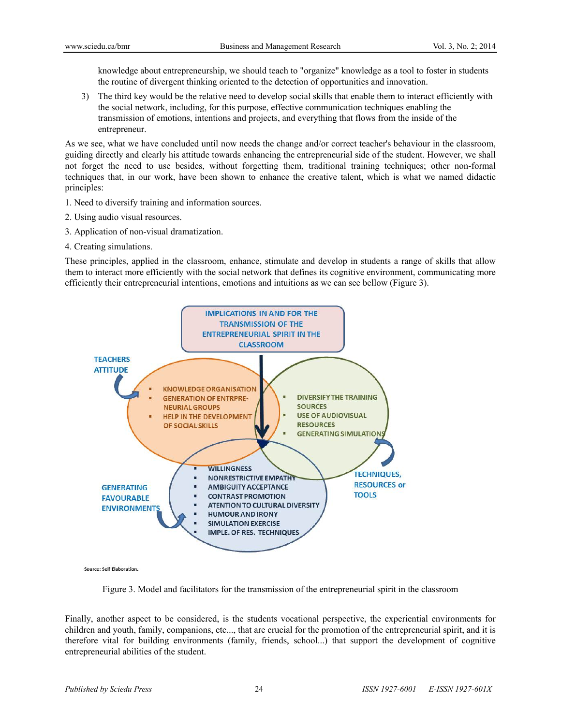knowledge about entrepreneurship, we should teach to "organize" knowledge as a tool to foster in students the routine of divergent thinking oriented to the detection of opportunities and innovation.

3) The third key would be the relative need to develop social skills that enable them to interact efficiently with the social network, including, for this purpose, effective communication techniques enabling the transmission of emotions, intentions and projects, and everything that flows from the inside of the entrepreneur.

As we see, what we have concluded until now needs the change and/or correct teacher's behaviour in the classroom, guiding directly and clearly his attitude towards enhancing the entrepreneurial side of the student. However, we shall not forget the need to use besides, without forgetting them, traditional training techniques; other non-formal techniques that, in our work, have been shown to enhance the creative talent, which is what we named didactic principles:

- 1. Need to diversify training and information sources.
- 2. Using audio visual resources.
- 3. Application of non-visual dramatization.
- 4. Creating simulations.

These principles, applied in the classroom, enhance, stimulate and develop in students a range of skills that allow them to interact more efficiently with the social network that defines its cognitive environment, communicating more efficiently their entrepreneurial intentions, emotions and intuitions as we can see bellow (Figure 3).



Source: Self Elaboration.

Figure 3. Model and facilitators for the transmission of the entrepreneurial spirit in the classroom

Finally, another aspect to be considered, is the students vocational perspective, the experiential environments for children and youth, family, companions, etc..., that are crucial for the promotion of the entrepreneurial spirit, and it is therefore vital for building environments (family, friends, school...) that support the development of cognitive entrepreneurial abilities of the student.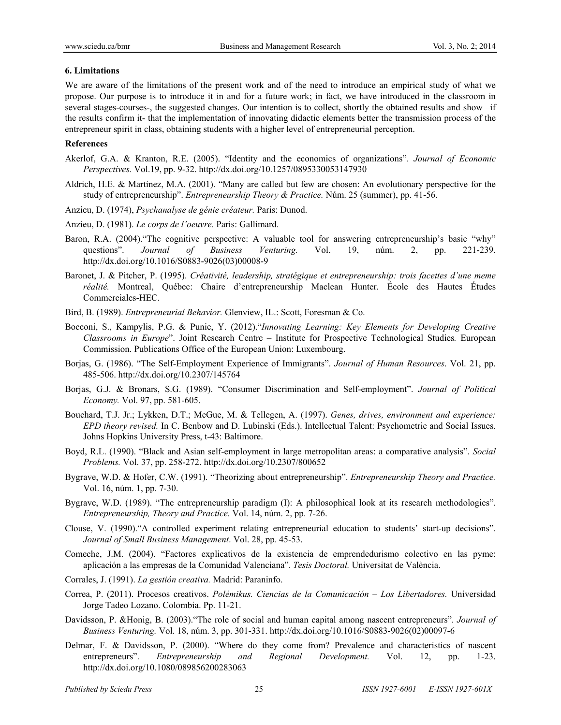#### **6. Limitations**

We are aware of the limitations of the present work and of the need to introduce an empirical study of what we propose. Our purpose is to introduce it in and for a future work; in fact, we have introduced in the classroom in several stages-courses-, the suggested changes. Our intention is to collect, shortly the obtained results and show –if the results confirm it- that the implementation of innovating didactic elements better the transmission process of the entrepreneur spirit in class, obtaining students with a higher level of entrepreneurial perception.

## **References**

- Akerlof, G.A. & Kranton, R.E. (2005). "Identity and the economics of organizations". *Journal of Economic Perspectives.* Vol.19, pp. 9-32. http://dx.doi.org/10.1257/0895330053147930
- Aldrich, H.E. & Martínez, M.A. (2001). "Many are called but few are chosen: An evolutionary perspective for the study of entrepreneurship". *Entrepreneurship Theory & Practice.* Núm. 25 (summer), pp. 41-56.
- Anzieu, D. (1974), *Psychanalyse de génie créateur.* Paris: Dunod.
- Anzieu, D. (1981). *Le corps de l'oeuvre.* Paris: Gallimard.
- Baron, R.A. (2004)."The cognitive perspective: A valuable tool for answering entrepreneurship's basic "why" questions". *Journal of Business Venturing.* Vol. 19, núm. 2, pp. 221-239. http://dx.doi.org/10.1016/S0883-9026(03)00008-9
- Baronet, J. & Pitcher, P. (1995). *Créativité, leadership, stratégique et entrepreneurship: trois facettes d'une meme réalité.* Montreal, Québec: Chaire d'entrepreneurship Maclean Hunter. École des Hautes Études Commerciales-HEC.
- Bird, B. (1989). *Entrepreneurial Behavior.* Glenview, IL.: Scott, Foresman & Co.
- Bocconi, S., Kampylis, P.G. & Punie, Y. (2012)."*Innovating Learning: Key Elements for Developing Creative Classrooms in Europe*". Joint Research Centre – Institute for Prospective Technological Studies*.* European Commission. Publications Office of the European Union: Luxembourg.
- Borjas, G. (1986). "The Self-Employment Experience of Immigrants". *Journal of Human Resources*. Vol. 21, pp. 485-506. http://dx.doi.org/10.2307/145764
- Borjas, G.J. & Bronars, S.G. (1989). "Consumer Discrimination and Self-employment". *Journal of Political Economy.* Vol. 97, pp. 581-605.
- Bouchard, T.J. Jr.; Lykken, D.T.; McGue, M. & Tellegen, A. (1997). *Genes, drives, environment and experience: EPD theory revised.* In C. Benbow and D. Lubinski (Eds.). Intellectual Talent: Psychometric and Social Issues. Johns Hopkins University Press, t-43: Baltimore.
- Boyd, R.L. (1990). "Black and Asian self-employment in large metropolitan areas: a comparative analysis". *Social Problems.* Vol. 37, pp. 258-272. http://dx.doi.org/10.2307/800652
- Bygrave, W.D. & Hofer, C.W. (1991). "Theorizing about entrepreneurship". *Entrepreneurship Theory and Practice.*  Vol. 16, núm. 1, pp. 7-30.
- Bygrave, W.D. (1989). "The entrepreneurship paradigm (I): A philosophical look at its research methodologies". *Entrepreneurship, Theory and Practice.* Vol. 14, núm. 2, pp. 7-26.
- Clouse, V. (1990)."A controlled experiment relating entrepreneurial education to students' start-up decisions". *Journal of Small Business Management*. Vol. 28, pp. 45-53.
- Comeche, J.M. (2004). "Factores explicativos de la existencia de emprendedurismo colectivo en las pyme: aplicación a las empresas de la Comunidad Valenciana". *Tesis Doctoral.* Universitat de València.
- Corrales, J. (1991). *La gestión creativa.* Madrid: Paraninfo.
- Correa, P. (2011). Procesos creativos. *Polémikus. Ciencias de la Comunicación Los Libertadores.* Universidad Jorge Tadeo Lozano. Colombia. Pp. 11-21.
- Davidsson, P. &Honig, B. (2003)."The role of social and human capital among nascent entrepreneurs". *Journal of Business Venturing.* Vol. 18, núm. 3, pp. 301-331. http://dx.doi.org/10.1016/S0883-9026(02)00097-6
- Delmar, F. & Davidsson, P. (2000). "Where do they come from? Prevalence and characteristics of nascent entrepreneurs". *Entrepreneurship and Regional Development.* Vol. 12, pp. 1-23. http://dx.doi.org/10.1080/089856200283063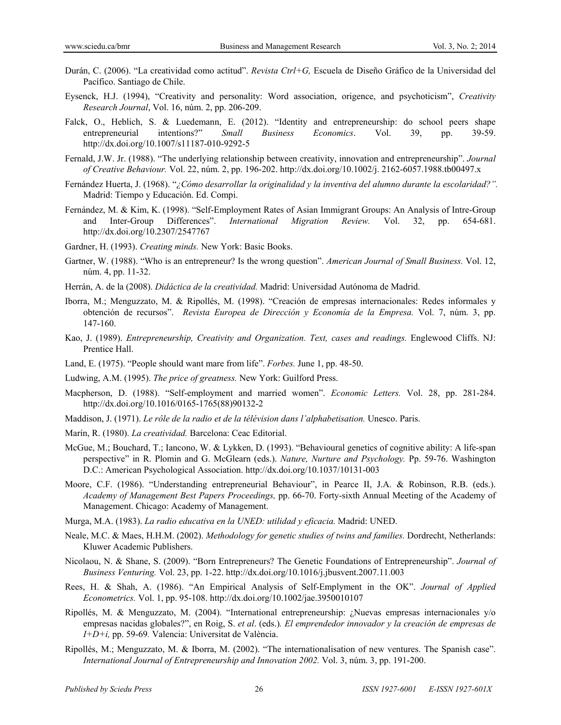- Durán, C. (2006). "La creatividad como actitud". *Revista Ctrl+G,* Escuela de Diseño Gráfico de la Universidad del Pacífico. Santiago de Chile.
- Eysenck, H.J. (1994), "Creativity and personality: Word association, origence, and psychoticism", *Creativity Research Journal*, Vol. 16, núm. 2, pp. 206-209.
- Falck, O., Heblich, S. & Luedemann, E. (2012). "Identity and entrepreneurship: do school peers shape entrepreneurial intentions?" *Small Business Economics*. Vol. 39, pp. 39-59. http://dx.doi.org/10.1007/s11187-010-9292-5
- Fernald, J.W. Jr. (1988). "The underlying relationship between creativity, innovation and entrepreneurship". *Journal of Creative Behaviour.* Vol. 22, núm. 2, pp. 196-202. http://dx.doi.org/10.1002/j. 2162-6057.1988.tb00497.x
- Fernández Huerta, J. (1968). "*¿Cómo desarrollar la originalidad y la inventiva del alumno durante la escolaridad?".*  Madrid: Tiempo y Educación. Ed. Compi.
- Fernández, M. & Kim, K. (1998). "Self-Employment Rates of Asian Immigrant Groups: An Analysis of Intre-Group and Inter-Group Differences". *International Migration Review.* Vol. 32, pp. 654-681. http://dx.doi.org/10.2307/2547767
- Gardner, H. (1993). *Creating minds.* New York: Basic Books.
- Gartner, W. (1988). "Who is an entrepreneur? Is the wrong question". *American Journal of Small Business.* Vol. 12, núm. 4, pp. 11-32.
- Herrán, A. de la (2008). *Didáctica de la creatividad.* Madrid: Universidad Autónoma de Madrid.
- Iborra, M.; Menguzzato, M. & Ripollés, M. (1998). "Creación de empresas internacionales: Redes informales y obtención de recursos". *Revista Europea de Dirección y Economía de la Empresa.* Vol. 7, núm. 3, pp. 147-160.
- Kao, J. (1989). *Entrepreneurship, Creativity and Organization. Text, cases and readings.* Englewood Cliffs. NJ: Prentice Hall.
- Land, E. (1975). "People should want mare from life". *Forbes.* June 1, pp. 48-50.
- Ludwing, A.M. (1995). *The price of greatness.* New York: Guilford Press.
- Macpherson, D. (1988). "Self-employment and married women". *Economic Letters.* Vol. 28, pp. 281-284. http://dx.doi.org/10.1016/0165-1765(88)90132-2
- Maddison, J. (1971). *Le rôle de la radio et de la télévision dans l'alphabetisation.* Unesco. Paris.
- Marín, R. (1980). *La creatividad.* Barcelona: Ceac Editorial.
- McGue, M.; Bouchard, T.; Iancono, W. & Lykken, D. (1993). "Behavioural genetics of cognitive ability: A life-span perspective" in R. Plomin and G. McGlearn (eds.). *Nature, Nurture and Psychology.* Pp. 59-76. Washington D.C.: American Psychological Association. http://dx.doi.org/10.1037/10131-003
- Moore, C.F. (1986). "Understanding entrepreneurial Behaviour", in Pearce II, J.A. & Robinson, R.B. (eds.). *Academy of Management Best Papers Proceedings,* pp. 66-70. Forty-sixth Annual Meeting of the Academy of Management. Chicago: Academy of Management.
- Murga, M.A. (1983). *La radio educativa en la UNED: utilidad y eficacia.* Madrid: UNED.
- Neale, M.C. & Maes, H.H.M. (2002). *Methodology for genetic studies of twins and families.* Dordrecht, Netherlands: Kluwer Academic Publishers.
- Nicolaou, N. & Shane, S. (2009). "Born Entrepreneurs? The Genetic Foundations of Entrepreneurship". *Journal of Business Venturing.* Vol. 23, pp. 1-22. http://dx.doi.org/10.1016/j.jbusvent.2007.11.003
- Rees, H. & Shah, A. (1986). "An Empirical Analysis of Self-Emplyment in the OK". *Journal of Applied Econometrics.* Vol. 1, pp. 95-108. http://dx.doi.org/10.1002/jae.3950010107
- Ripollés, M. & Menguzzato, M. (2004). "International entrepreneurship: ¿Nuevas empresas internacionales y/o empresas nacidas globales?", en Roig, S. *et al*. (eds.)*. El emprendedor innovador y la creación de empresas de I+D+i,* pp. 59-69*.* Valencia: Universitat de València.
- Ripollés, M.; Menguzzato, M. & Iborra, M. (2002). "The internationalisation of new ventures. The Spanish case". *International Journal of Entrepreneurship and Innovation 2002.* Vol. 3, núm. 3, pp. 191-200.